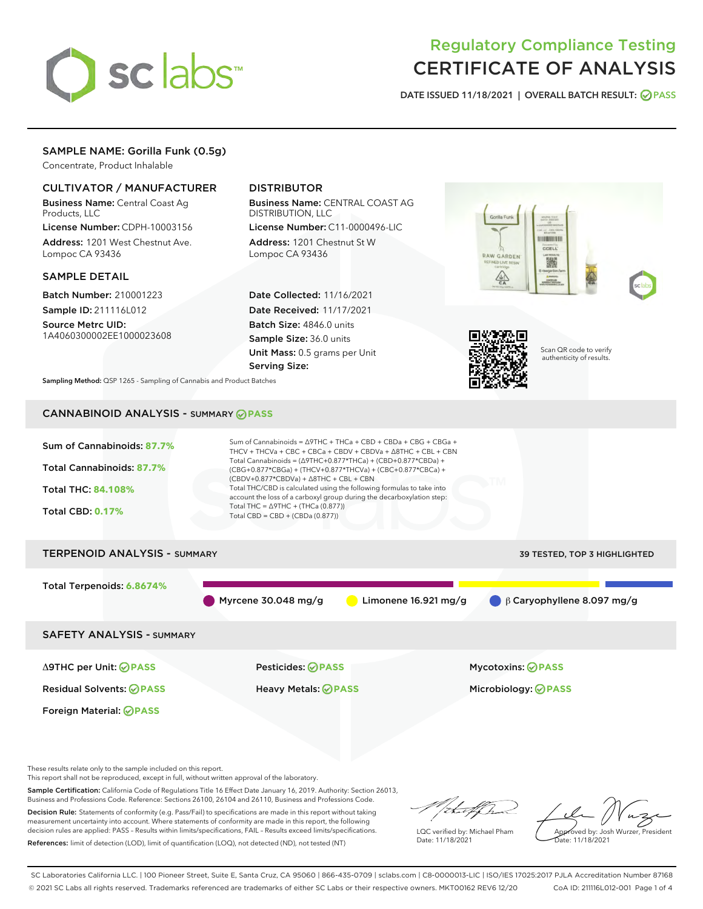

# Regulatory Compliance Testing CERTIFICATE OF ANALYSIS

DATE ISSUED 11/18/2021 | OVERALL BATCH RESULT: @ PASS

# SAMPLE NAME: Gorilla Funk (0.5g)

Concentrate, Product Inhalable

# CULTIVATOR / MANUFACTURER

Business Name: Central Coast Ag Products, LLC

License Number: CDPH-10003156 Address: 1201 West Chestnut Ave. Lompoc CA 93436

### SAMPLE DETAIL

Batch Number: 210001223 Sample ID: 211116L012

Source Metrc UID: 1A4060300002EE1000023608

# DISTRIBUTOR

Business Name: CENTRAL COAST AG DISTRIBUTION, LLC

License Number: C11-0000496-LIC Address: 1201 Chestnut St W Lompoc CA 93436

Date Collected: 11/16/2021 Date Received: 11/17/2021 Batch Size: 4846.0 units Sample Size: 36.0 units Unit Mass: 0.5 grams per Unit Serving Size:





Scan QR code to verify authenticity of results.

Sampling Method: QSP 1265 - Sampling of Cannabis and Product Batches

# CANNABINOID ANALYSIS - SUMMARY **PASS**



This report shall not be reproduced, except in full, without written approval of the laboratory.

Sample Certification: California Code of Regulations Title 16 Effect Date January 16, 2019. Authority: Section 26013, Business and Professions Code. Reference: Sections 26100, 26104 and 26110, Business and Professions Code.

Decision Rule: Statements of conformity (e.g. Pass/Fail) to specifications are made in this report without taking measurement uncertainty into account. Where statements of conformity are made in this report, the following decision rules are applied: PASS – Results within limits/specifications, FAIL – Results exceed limits/specifications. References: limit of detection (LOD), limit of quantification (LOQ), not detected (ND), not tested (NT)

that f(ha

LQC verified by: Michael Pham Date: 11/18/2021

Approved by: Josh Wurzer, President ate: 11/18/2021

SC Laboratories California LLC. | 100 Pioneer Street, Suite E, Santa Cruz, CA 95060 | 866-435-0709 | sclabs.com | C8-0000013-LIC | ISO/IES 17025:2017 PJLA Accreditation Number 87168 © 2021 SC Labs all rights reserved. Trademarks referenced are trademarks of either SC Labs or their respective owners. MKT00162 REV6 12/20 CoA ID: 211116L012-001 Page 1 of 4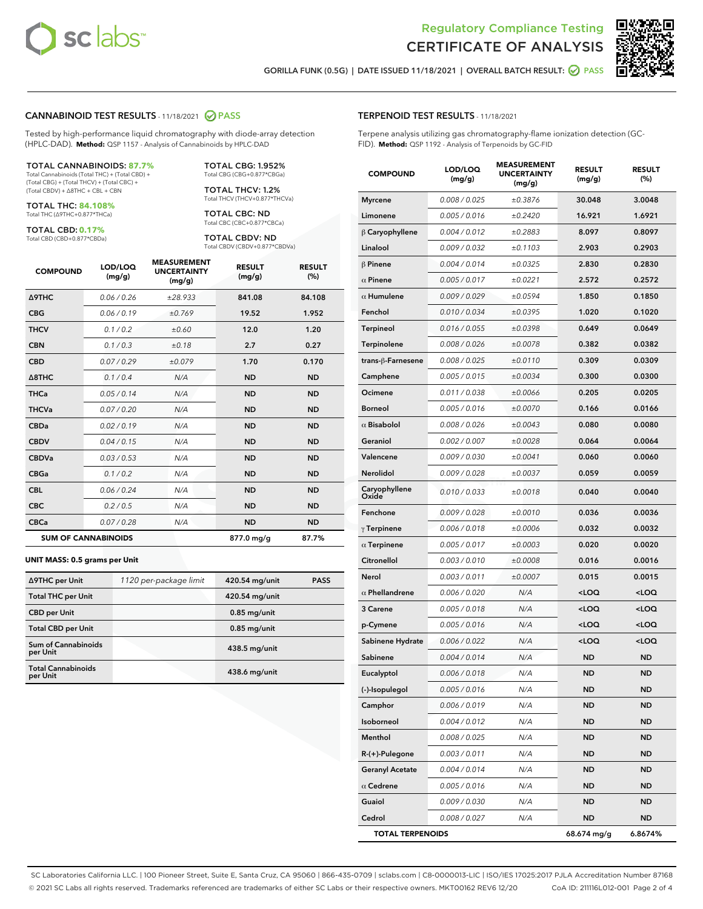



GORILLA FUNK (0.5G) | DATE ISSUED 11/18/2021 | OVERALL BATCH RESULT: @ PASS

#### CANNABINOID TEST RESULTS - 11/18/2021 2 PASS

Tested by high-performance liquid chromatography with diode-array detection (HPLC-DAD). **Method:** QSP 1157 - Analysis of Cannabinoids by HPLC-DAD

#### TOTAL CANNABINOIDS: **87.7%**

Total Cannabinoids (Total THC) + (Total CBD) + (Total CBG) + (Total THCV) + (Total CBC) + (Total CBDV) + ∆8THC + CBL + CBN

TOTAL THC: **84.108%** Total THC (∆9THC+0.877\*THCa)

TOTAL CBD: **0.17%**

Total CBD (CBD+0.877\*CBDa)

TOTAL CBG: 1.952% Total CBG (CBG+0.877\*CBGa)

TOTAL THCV: 1.2% Total THCV (THCV+0.877\*THCVa)

TOTAL CBC: ND Total CBC (CBC+0.877\*CBCa)

TOTAL CBDV: ND Total CBDV (CBDV+0.877\*CBDVa)

| <b>COMPOUND</b>  | LOD/LOQ<br>(mg/g)          | <b>MEASUREMENT</b><br><b>UNCERTAINTY</b><br>(mg/g) | <b>RESULT</b><br>(mg/g) | <b>RESULT</b><br>(%) |
|------------------|----------------------------|----------------------------------------------------|-------------------------|----------------------|
| <b>A9THC</b>     | 0.06 / 0.26                | ±28.933                                            | 841.08                  | 84.108               |
| <b>CBG</b>       | 0.06/0.19                  | ±0.769                                             | 19.52                   | 1.952                |
| <b>THCV</b>      | 0.1 / 0.2                  | ±0.60                                              | 12.0                    | 1.20                 |
| <b>CBN</b>       | 0.1/0.3                    | ±0.18                                              | 2.7                     | 0.27                 |
| <b>CBD</b>       | 0.07/0.29                  | ±0.079                                             | 1.70                    | 0.170                |
| $\triangle$ 8THC | 0.1/0.4                    | N/A                                                | <b>ND</b>               | <b>ND</b>            |
| <b>THCa</b>      | 0.05/0.14                  | N/A                                                | <b>ND</b>               | <b>ND</b>            |
| <b>THCVa</b>     | 0.07/0.20                  | N/A                                                | <b>ND</b>               | <b>ND</b>            |
| <b>CBDa</b>      | 0.02/0.19                  | N/A                                                | <b>ND</b>               | <b>ND</b>            |
| <b>CBDV</b>      | 0.04/0.15                  | N/A                                                | <b>ND</b>               | <b>ND</b>            |
| <b>CBDVa</b>     | 0.03/0.53                  | N/A                                                | <b>ND</b>               | <b>ND</b>            |
| <b>CBGa</b>      | 0.1/0.2                    | N/A                                                | <b>ND</b>               | <b>ND</b>            |
| <b>CBL</b>       | 0.06 / 0.24                | N/A                                                | <b>ND</b>               | <b>ND</b>            |
| <b>CBC</b>       | 0.2 / 0.5                  | N/A                                                | <b>ND</b>               | <b>ND</b>            |
| <b>CBCa</b>      | 0.07 / 0.28                | N/A                                                | <b>ND</b>               | <b>ND</b>            |
|                  | <b>SUM OF CANNABINOIDS</b> |                                                    | 877.0 mg/g              | 87.7%                |

#### **UNIT MASS: 0.5 grams per Unit**

| ∆9THC per Unit                        | 1120 per-package limit | 420.54 mg/unit  | <b>PASS</b> |
|---------------------------------------|------------------------|-----------------|-------------|
| <b>Total THC per Unit</b>             |                        | 420.54 mg/unit  |             |
| <b>CBD per Unit</b>                   |                        | $0.85$ mg/unit  |             |
| <b>Total CBD per Unit</b>             |                        | $0.85$ mg/unit  |             |
| Sum of Cannabinoids<br>per Unit       |                        | $438.5$ mg/unit |             |
| <b>Total Cannabinoids</b><br>per Unit |                        | $438.6$ mg/unit |             |

| <b>COMPOUND</b>         | LOD/LOQ<br>(mg/g) | <b>MEASUREMENT</b><br><b>UNCERTAINTY</b><br>(mg/g) | <b>RESULT</b><br>(mg/g)                         | <b>RESULT</b><br>(%) |
|-------------------------|-------------------|----------------------------------------------------|-------------------------------------------------|----------------------|
| <b>Myrcene</b>          | 0.008 / 0.025     | ±0.3876                                            | 30.048                                          | 3.0048               |
| Limonene                | 0.005 / 0.016     | ±0.2420                                            | 16.921                                          | 1.6921               |
| $\beta$ Caryophyllene   | 0.004 / 0.012     | ±0.2883                                            | 8.097                                           | 0.8097               |
| Linalool                | 0.009 / 0.032     | ±0.1103                                            | 2.903                                           | 0.2903               |
| $\beta$ Pinene          | 0.004 / 0.014     | ±0.0325                                            | 2.830                                           | 0.2830               |
| $\alpha$ Pinene         | 0.005 / 0.017     | ±0.0221                                            | 2.572                                           | 0.2572               |
| $\alpha$ Humulene       | 0.009 / 0.029     | ±0.0594                                            | 1.850                                           | 0.1850               |
| Fenchol                 | 0.010 / 0.034     | ±0.0395                                            | 1.020                                           | 0.1020               |
| Terpineol               | 0.016 / 0.055     | ±0.0398                                            | 0.649                                           | 0.0649               |
| Terpinolene             | 0.008 / 0.026     | ±0.0078                                            | 0.382                                           | 0.0382               |
| trans-β-Farnesene       | 0.008 / 0.025     | ±0.0110                                            | 0.309                                           | 0.0309               |
| Camphene                | 0.005 / 0.015     | ±0.0034                                            | 0.300                                           | 0.0300               |
| Ocimene                 | 0.011 / 0.038     | ±0.0066                                            | 0.205                                           | 0.0205               |
| <b>Borneol</b>          | 0.005 / 0.016     | ±0.0070                                            | 0.166                                           | 0.0166               |
| $\alpha$ Bisabolol      | 0.008 / 0.026     | ±0.0043                                            | 0.080                                           | 0.0080               |
| Geraniol                | 0.002 / 0.007     | ±0.0028                                            | 0.064                                           | 0.0064               |
| Valencene               | 0.009 / 0.030     | ±0.0041                                            | 0.060                                           | 0.0060               |
| Nerolidol               | 0.009 / 0.028     | ±0.0037                                            | 0.059                                           | 0.0059               |
| Caryophyllene<br>Oxide  | 0.010 / 0.033     | ±0.0018                                            | 0.040                                           | 0.0040               |
| Fenchone                | 0.009 / 0.028     | ±0.0010                                            | 0.036                                           | 0.0036               |
| $\gamma$ Terpinene      | 0.006 / 0.018     | ±0.0006                                            | 0.032                                           | 0.0032               |
| $\alpha$ Terpinene      | 0.005 / 0.017     | ±0.0003                                            | 0.020                                           | 0.0020               |
| Citronellol             | 0.003 / 0.010     | ±0.0008                                            | 0.016                                           | 0.0016               |
| Nerol                   | 0.003 / 0.011     | ±0.0007                                            | 0.015                                           | 0.0015               |
| $\alpha$ Phellandrene   | 0.006 / 0.020     | N/A                                                | <loq< th=""><th><loq< th=""></loq<></th></loq<> | <loq< th=""></loq<>  |
| 3 Carene                | 0.005 / 0.018     | N/A                                                | <loq< th=""><th><loq< th=""></loq<></th></loq<> | <loq< th=""></loq<>  |
| p-Cymene                | 0.005 / 0.016     | N/A                                                | <loq< th=""><th><loq< th=""></loq<></th></loq<> | <loq< th=""></loq<>  |
| Sabinene Hydrate        | 0.006 / 0.022     | N/A                                                | <loq< th=""><th><loq< th=""></loq<></th></loq<> | <loq< th=""></loq<>  |
| Sabinene                | 0.004 / 0.014     | N/A                                                | ND                                              | ND                   |
| Eucalyptol              | 0.006 / 0.018     | N/A                                                | ND                                              | <b>ND</b>            |
| (-)-Isopulegol          | 0.005 / 0.016     | N/A                                                | ND                                              | ND                   |
| Camphor                 | 0.006 / 0.019     | N/A                                                | ND                                              | ND                   |
| Isoborneol              | 0.004 / 0.012     | N/A                                                | ND                                              | ND                   |
| Menthol                 | 0.008 / 0.025     | N/A                                                | ND                                              | ND                   |
| R-(+)-Pulegone          | 0.003 / 0.011     | N/A                                                | ND                                              | ND                   |
| <b>Geranyl Acetate</b>  | 0.004 / 0.014     | N/A                                                | ND                                              | ND                   |
| $\alpha$ Cedrene        | 0.005 / 0.016     | N/A                                                | ND                                              | ND                   |
| Guaiol                  | 0.009 / 0.030     | N/A                                                | ND                                              | ND                   |
| Cedrol                  | 0.008 / 0.027     | N/A                                                | <b>ND</b>                                       | ND                   |
| <b>TOTAL TERPENOIDS</b> |                   |                                                    | 68.674 mg/g                                     | 6.8674%              |

SC Laboratories California LLC. | 100 Pioneer Street, Suite E, Santa Cruz, CA 95060 | 866-435-0709 | sclabs.com | C8-0000013-LIC | ISO/IES 17025:2017 PJLA Accreditation Number 87168 © 2021 SC Labs all rights reserved. Trademarks referenced are trademarks of either SC Labs or their respective owners. MKT00162 REV6 12/20 CoA ID: 211116L012-001 Page 2 of 4

# TERPENOID TEST RESULTS - 11/18/2021

Terpene analysis utilizing gas chromatography-flame ionization detection (GC-FID). **Method:** QSP 1192 - Analysis of Terpenoids by GC-FID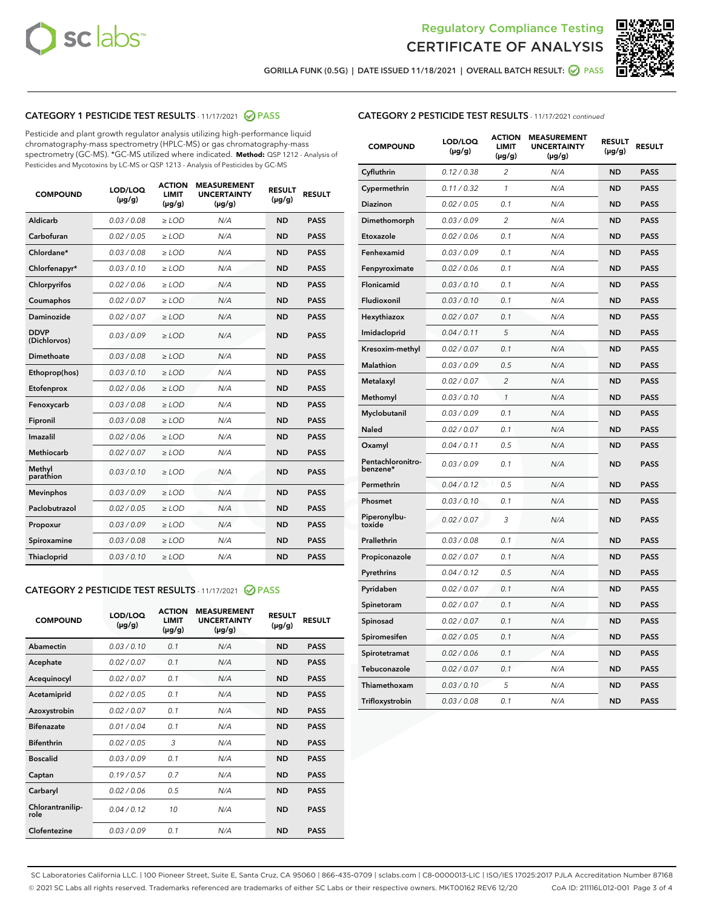



GORILLA FUNK (0.5G) | DATE ISSUED 11/18/2021 | OVERALL BATCH RESULT: ● PASS

# CATEGORY 1 PESTICIDE TEST RESULTS - 11/17/2021 2 PASS

Pesticide and plant growth regulator analysis utilizing high-performance liquid chromatography-mass spectrometry (HPLC-MS) or gas chromatography-mass spectrometry (GC-MS). \*GC-MS utilized where indicated. **Method:** QSP 1212 - Analysis of Pesticides and Mycotoxins by LC-MS or QSP 1213 - Analysis of Pesticides by GC-MS

| <b>Aldicarb</b><br>0.03 / 0.08<br><b>ND</b><br>$\ge$ LOD<br>N/A<br><b>PASS</b><br>Carbofuran<br>0.02/0.05<br>$\ge$ LOD<br>N/A<br><b>ND</b><br><b>PASS</b><br>Chlordane*<br>0.03 / 0.08<br><b>ND</b><br>$>$ LOD<br>N/A<br><b>PASS</b><br>0.03/0.10<br><b>ND</b><br><b>PASS</b><br>Chlorfenapyr*<br>$\ge$ LOD<br>N/A<br>0.02 / 0.06<br>N/A<br><b>ND</b><br><b>PASS</b><br>Chlorpyrifos<br>$\ge$ LOD<br>0.02 / 0.07<br>N/A<br><b>ND</b><br><b>PASS</b><br>Coumaphos<br>$>$ LOD<br>Daminozide<br>0.02 / 0.07<br>$\ge$ LOD<br>N/A<br><b>ND</b><br><b>PASS</b><br><b>DDVP</b><br>0.03/0.09<br>$\ge$ LOD<br>N/A<br><b>ND</b><br><b>PASS</b><br>(Dichlorvos)<br>Dimethoate<br><b>ND</b><br><b>PASS</b><br>0.03 / 0.08<br>$>$ LOD<br>N/A<br>0.03/0.10<br>Ethoprop(hos)<br>$\ge$ LOD<br>N/A<br><b>ND</b><br><b>PASS</b><br>0.02 / 0.06<br>$\ge$ LOD<br>N/A<br><b>ND</b><br><b>PASS</b><br>Etofenprox<br>Fenoxycarb<br>0.03 / 0.08<br>$>$ LOD<br>N/A<br><b>ND</b><br><b>PASS</b><br>0.03 / 0.08<br><b>ND</b><br><b>PASS</b><br>Fipronil<br>$\ge$ LOD<br>N/A<br>Imazalil<br>0.02 / 0.06<br>$>$ LOD<br>N/A<br><b>ND</b><br><b>PASS</b><br>0.02 / 0.07<br>Methiocarb<br>N/A<br><b>ND</b><br>$>$ LOD<br><b>PASS</b><br>Methyl<br>0.03/0.10<br>$\ge$ LOD<br>N/A<br><b>ND</b><br><b>PASS</b><br>parathion<br>0.03/0.09<br>$\ge$ LOD<br>N/A<br><b>ND</b><br><b>PASS</b><br><b>Mevinphos</b><br>Paclobutrazol<br>0.02 / 0.05<br>$\ge$ LOD<br>N/A<br><b>ND</b><br><b>PASS</b><br>0.03/0.09<br>N/A<br>$\ge$ LOD<br><b>ND</b><br><b>PASS</b><br>Propoxur<br>0.03 / 0.08<br><b>ND</b><br><b>PASS</b><br>Spiroxamine<br>$\ge$ LOD<br>N/A<br><b>PASS</b><br>Thiacloprid<br>0.03/0.10<br>$\ge$ LOD<br>N/A<br><b>ND</b> | <b>COMPOUND</b> | LOD/LOQ<br>$(\mu g/g)$ | <b>ACTION</b><br>LIMIT<br>$(\mu g/g)$ | <b>MEASUREMENT</b><br><b>UNCERTAINTY</b><br>$(\mu g/g)$ | <b>RESULT</b><br>$(\mu g/g)$ | <b>RESULT</b> |
|----------------------------------------------------------------------------------------------------------------------------------------------------------------------------------------------------------------------------------------------------------------------------------------------------------------------------------------------------------------------------------------------------------------------------------------------------------------------------------------------------------------------------------------------------------------------------------------------------------------------------------------------------------------------------------------------------------------------------------------------------------------------------------------------------------------------------------------------------------------------------------------------------------------------------------------------------------------------------------------------------------------------------------------------------------------------------------------------------------------------------------------------------------------------------------------------------------------------------------------------------------------------------------------------------------------------------------------------------------------------------------------------------------------------------------------------------------------------------------------------------------------------------------------------------------------------------------------------------------------------------------------------------------------------------------------------|-----------------|------------------------|---------------------------------------|---------------------------------------------------------|------------------------------|---------------|
|                                                                                                                                                                                                                                                                                                                                                                                                                                                                                                                                                                                                                                                                                                                                                                                                                                                                                                                                                                                                                                                                                                                                                                                                                                                                                                                                                                                                                                                                                                                                                                                                                                                                                              |                 |                        |                                       |                                                         |                              |               |
|                                                                                                                                                                                                                                                                                                                                                                                                                                                                                                                                                                                                                                                                                                                                                                                                                                                                                                                                                                                                                                                                                                                                                                                                                                                                                                                                                                                                                                                                                                                                                                                                                                                                                              |                 |                        |                                       |                                                         |                              |               |
|                                                                                                                                                                                                                                                                                                                                                                                                                                                                                                                                                                                                                                                                                                                                                                                                                                                                                                                                                                                                                                                                                                                                                                                                                                                                                                                                                                                                                                                                                                                                                                                                                                                                                              |                 |                        |                                       |                                                         |                              |               |
|                                                                                                                                                                                                                                                                                                                                                                                                                                                                                                                                                                                                                                                                                                                                                                                                                                                                                                                                                                                                                                                                                                                                                                                                                                                                                                                                                                                                                                                                                                                                                                                                                                                                                              |                 |                        |                                       |                                                         |                              |               |
|                                                                                                                                                                                                                                                                                                                                                                                                                                                                                                                                                                                                                                                                                                                                                                                                                                                                                                                                                                                                                                                                                                                                                                                                                                                                                                                                                                                                                                                                                                                                                                                                                                                                                              |                 |                        |                                       |                                                         |                              |               |
|                                                                                                                                                                                                                                                                                                                                                                                                                                                                                                                                                                                                                                                                                                                                                                                                                                                                                                                                                                                                                                                                                                                                                                                                                                                                                                                                                                                                                                                                                                                                                                                                                                                                                              |                 |                        |                                       |                                                         |                              |               |
|                                                                                                                                                                                                                                                                                                                                                                                                                                                                                                                                                                                                                                                                                                                                                                                                                                                                                                                                                                                                                                                                                                                                                                                                                                                                                                                                                                                                                                                                                                                                                                                                                                                                                              |                 |                        |                                       |                                                         |                              |               |
|                                                                                                                                                                                                                                                                                                                                                                                                                                                                                                                                                                                                                                                                                                                                                                                                                                                                                                                                                                                                                                                                                                                                                                                                                                                                                                                                                                                                                                                                                                                                                                                                                                                                                              |                 |                        |                                       |                                                         |                              |               |
|                                                                                                                                                                                                                                                                                                                                                                                                                                                                                                                                                                                                                                                                                                                                                                                                                                                                                                                                                                                                                                                                                                                                                                                                                                                                                                                                                                                                                                                                                                                                                                                                                                                                                              |                 |                        |                                       |                                                         |                              |               |
|                                                                                                                                                                                                                                                                                                                                                                                                                                                                                                                                                                                                                                                                                                                                                                                                                                                                                                                                                                                                                                                                                                                                                                                                                                                                                                                                                                                                                                                                                                                                                                                                                                                                                              |                 |                        |                                       |                                                         |                              |               |
|                                                                                                                                                                                                                                                                                                                                                                                                                                                                                                                                                                                                                                                                                                                                                                                                                                                                                                                                                                                                                                                                                                                                                                                                                                                                                                                                                                                                                                                                                                                                                                                                                                                                                              |                 |                        |                                       |                                                         |                              |               |
|                                                                                                                                                                                                                                                                                                                                                                                                                                                                                                                                                                                                                                                                                                                                                                                                                                                                                                                                                                                                                                                                                                                                                                                                                                                                                                                                                                                                                                                                                                                                                                                                                                                                                              |                 |                        |                                       |                                                         |                              |               |
|                                                                                                                                                                                                                                                                                                                                                                                                                                                                                                                                                                                                                                                                                                                                                                                                                                                                                                                                                                                                                                                                                                                                                                                                                                                                                                                                                                                                                                                                                                                                                                                                                                                                                              |                 |                        |                                       |                                                         |                              |               |
|                                                                                                                                                                                                                                                                                                                                                                                                                                                                                                                                                                                                                                                                                                                                                                                                                                                                                                                                                                                                                                                                                                                                                                                                                                                                                                                                                                                                                                                                                                                                                                                                                                                                                              |                 |                        |                                       |                                                         |                              |               |
|                                                                                                                                                                                                                                                                                                                                                                                                                                                                                                                                                                                                                                                                                                                                                                                                                                                                                                                                                                                                                                                                                                                                                                                                                                                                                                                                                                                                                                                                                                                                                                                                                                                                                              |                 |                        |                                       |                                                         |                              |               |
|                                                                                                                                                                                                                                                                                                                                                                                                                                                                                                                                                                                                                                                                                                                                                                                                                                                                                                                                                                                                                                                                                                                                                                                                                                                                                                                                                                                                                                                                                                                                                                                                                                                                                              |                 |                        |                                       |                                                         |                              |               |
|                                                                                                                                                                                                                                                                                                                                                                                                                                                                                                                                                                                                                                                                                                                                                                                                                                                                                                                                                                                                                                                                                                                                                                                                                                                                                                                                                                                                                                                                                                                                                                                                                                                                                              |                 |                        |                                       |                                                         |                              |               |
|                                                                                                                                                                                                                                                                                                                                                                                                                                                                                                                                                                                                                                                                                                                                                                                                                                                                                                                                                                                                                                                                                                                                                                                                                                                                                                                                                                                                                                                                                                                                                                                                                                                                                              |                 |                        |                                       |                                                         |                              |               |
|                                                                                                                                                                                                                                                                                                                                                                                                                                                                                                                                                                                                                                                                                                                                                                                                                                                                                                                                                                                                                                                                                                                                                                                                                                                                                                                                                                                                                                                                                                                                                                                                                                                                                              |                 |                        |                                       |                                                         |                              |               |
|                                                                                                                                                                                                                                                                                                                                                                                                                                                                                                                                                                                                                                                                                                                                                                                                                                                                                                                                                                                                                                                                                                                                                                                                                                                                                                                                                                                                                                                                                                                                                                                                                                                                                              |                 |                        |                                       |                                                         |                              |               |
|                                                                                                                                                                                                                                                                                                                                                                                                                                                                                                                                                                                                                                                                                                                                                                                                                                                                                                                                                                                                                                                                                                                                                                                                                                                                                                                                                                                                                                                                                                                                                                                                                                                                                              |                 |                        |                                       |                                                         |                              |               |

# CATEGORY 2 PESTICIDE TEST RESULTS - 11/17/2021 @ PASS

| <b>COMPOUND</b>          | LOD/LOO<br>$(\mu g/g)$ | <b>ACTION</b><br>LIMIT<br>$(\mu g/g)$ | <b>MEASUREMENT</b><br><b>UNCERTAINTY</b><br>$(\mu g/g)$ | <b>RESULT</b><br>$(\mu g/g)$ | <b>RESULT</b> |  |
|--------------------------|------------------------|---------------------------------------|---------------------------------------------------------|------------------------------|---------------|--|
| Abamectin                | 0.03/0.10              | 0.1                                   | N/A                                                     | <b>ND</b>                    | <b>PASS</b>   |  |
| Acephate                 | 0.02/0.07              | 0.1                                   | N/A                                                     | <b>ND</b>                    | <b>PASS</b>   |  |
| Acequinocyl              | 0.02/0.07              | 0.1                                   | N/A                                                     | <b>ND</b>                    | <b>PASS</b>   |  |
| Acetamiprid              | 0.02 / 0.05            | 0.1                                   | N/A                                                     | <b>ND</b>                    | <b>PASS</b>   |  |
| Azoxystrobin             | 0.02/0.07              | 0.1                                   | N/A                                                     | <b>ND</b>                    | <b>PASS</b>   |  |
| <b>Bifenazate</b>        | 0.01 / 0.04            | 0.1                                   | N/A                                                     | <b>ND</b>                    | <b>PASS</b>   |  |
| <b>Bifenthrin</b>        | 0.02 / 0.05            | 3                                     | N/A                                                     | <b>ND</b>                    | <b>PASS</b>   |  |
| <b>Boscalid</b>          | 0.03/0.09              | 0.1                                   | N/A                                                     | <b>ND</b>                    | <b>PASS</b>   |  |
| Captan                   | 0.19/0.57              | 0.7                                   | N/A                                                     | <b>ND</b>                    | <b>PASS</b>   |  |
| Carbaryl                 | 0.02/0.06              | 0.5                                   | N/A                                                     | <b>ND</b>                    | <b>PASS</b>   |  |
| Chlorantranilip-<br>role | 0.04/0.12              | 10                                    | N/A                                                     | <b>ND</b>                    | <b>PASS</b>   |  |
| Clofentezine             | 0.03/0.09              | 0.1                                   | N/A                                                     | <b>ND</b>                    | <b>PASS</b>   |  |

# CATEGORY 2 PESTICIDE TEST RESULTS - 11/17/2021 continued

| <b>COMPOUND</b>               | LOD/LOQ<br>(µg/g) | <b>ACTION</b><br><b>LIMIT</b><br>$(\mu g/g)$ | <b>MEASUREMENT</b><br><b>UNCERTAINTY</b><br>$(\mu g/g)$ | <b>RESULT</b><br>(µg/g) | <b>RESULT</b> |
|-------------------------------|-------------------|----------------------------------------------|---------------------------------------------------------|-------------------------|---------------|
| Cyfluthrin                    | 0.12 / 0.38       | $\overline{c}$                               | N/A                                                     | <b>ND</b>               | <b>PASS</b>   |
| Cypermethrin                  | 0.11 / 0.32       | 1                                            | N/A                                                     | ND                      | <b>PASS</b>   |
| <b>Diazinon</b>               | 0.02 / 0.05       | 0.1                                          | N/A                                                     | ND                      | <b>PASS</b>   |
| Dimethomorph                  | 0.03 / 0.09       | 2                                            | N/A                                                     | ND                      | <b>PASS</b>   |
| Etoxazole                     | 0.02 / 0.06       | 0.1                                          | N/A                                                     | ND                      | <b>PASS</b>   |
| Fenhexamid                    | 0.03 / 0.09       | 0.1                                          | N/A                                                     | <b>ND</b>               | <b>PASS</b>   |
| Fenpyroximate                 | 0.02 / 0.06       | 0.1                                          | N/A                                                     | ND                      | <b>PASS</b>   |
| Flonicamid                    | 0.03 / 0.10       | 0.1                                          | N/A                                                     | ND                      | <b>PASS</b>   |
| Fludioxonil                   | 0.03 / 0.10       | 0.1                                          | N/A                                                     | <b>ND</b>               | <b>PASS</b>   |
| Hexythiazox                   | 0.02 / 0.07       | 0.1                                          | N/A                                                     | <b>ND</b>               | <b>PASS</b>   |
| Imidacloprid                  | 0.04 / 0.11       | 5                                            | N/A                                                     | ND                      | <b>PASS</b>   |
| Kresoxim-methyl               | 0.02 / 0.07       | 0.1                                          | N/A                                                     | <b>ND</b>               | <b>PASS</b>   |
| <b>Malathion</b>              | 0.03 / 0.09       | 0.5                                          | N/A                                                     | <b>ND</b>               | <b>PASS</b>   |
| Metalaxyl                     | 0.02 / 0.07       | $\overline{c}$                               | N/A                                                     | ND                      | <b>PASS</b>   |
| Methomyl                      | 0.03 / 0.10       | 1                                            | N/A                                                     | <b>ND</b>               | <b>PASS</b>   |
| Myclobutanil                  | 0.03 / 0.09       | 0.1                                          | N/A                                                     | ND                      | <b>PASS</b>   |
| Naled                         | 0.02 / 0.07       | 0.1                                          | N/A                                                     | ND                      | <b>PASS</b>   |
| Oxamyl                        | 0.04 / 0.11       | 0.5                                          | N/A                                                     | ND                      | <b>PASS</b>   |
| Pentachloronitro-<br>benzene* | 0.03 / 0.09       | 0.1                                          | N/A                                                     | ND                      | <b>PASS</b>   |
| Permethrin                    | 0.04 / 0.12       | 0.5                                          | N/A                                                     | ND                      | <b>PASS</b>   |
| Phosmet                       | 0.03 / 0.10       | 0.1                                          | N/A                                                     | <b>ND</b>               | <b>PASS</b>   |
| Piperonylbu-<br>toxide        | 0.02 / 0.07       | 3                                            | N/A                                                     | ND                      | <b>PASS</b>   |
| Prallethrin                   | 0.03 / 0.08       | 0.1                                          | N/A                                                     | <b>ND</b>               | <b>PASS</b>   |
| Propiconazole                 | 0.02 / 0.07       | 0.1                                          | N/A                                                     | ND                      | <b>PASS</b>   |
| Pyrethrins                    | 0.04 / 0.12       | 0.5                                          | N/A                                                     | ND                      | <b>PASS</b>   |
| Pyridaben                     | 0.02 / 0.07       | 0.1                                          | N/A                                                     | ND                      | <b>PASS</b>   |
| Spinetoram                    | 0.02 / 0.07       | 0.1                                          | N/A                                                     | <b>ND</b>               | <b>PASS</b>   |
| Spinosad                      | 0.02 / 0.07       | 0.1                                          | N/A                                                     | ND                      | <b>PASS</b>   |
| Spiromesifen                  | 0.02 / 0.05       | 0.1                                          | N/A                                                     | <b>ND</b>               | <b>PASS</b>   |
| Spirotetramat                 | 0.02 / 0.06       | 0.1                                          | N/A                                                     | ND                      | <b>PASS</b>   |
| Tebuconazole                  | 0.02 / 0.07       | 0.1                                          | N/A                                                     | ND                      | <b>PASS</b>   |
| Thiamethoxam                  | 0.03 / 0.10       | 5                                            | N/A                                                     | <b>ND</b>               | <b>PASS</b>   |
| Trifloxystrobin               | 0.03 / 0.08       | 0.1                                          | N/A                                                     | <b>ND</b>               | <b>PASS</b>   |

SC Laboratories California LLC. | 100 Pioneer Street, Suite E, Santa Cruz, CA 95060 | 866-435-0709 | sclabs.com | C8-0000013-LIC | ISO/IES 17025:2017 PJLA Accreditation Number 87168 © 2021 SC Labs all rights reserved. Trademarks referenced are trademarks of either SC Labs or their respective owners. MKT00162 REV6 12/20 CoA ID: 211116L012-001 Page 3 of 4